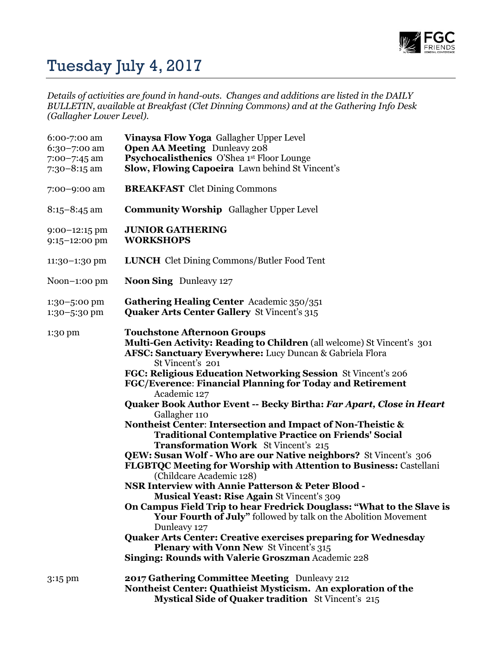

## Tuesday July 4, 2017

*Details of activities are found in hand-outs. Changes and additions are listed in the DAILY BULLETIN, available at Breakfast (Clet Dinning Commons) and at the Gathering Info Desk (Gallagher Lower Level).*

| 6:00-7:00 am<br>$6:30 - 7:00$ am<br>$7:00 - 7:45$ am<br>$7:30-8:15$ am | Vinaysa Flow Yoga Gallagher Upper Level<br><b>Open AA Meeting</b> Dunleavy 208<br>Psychocalisthenics O'Shea 1st Floor Lounge<br><b>Slow, Flowing Capoeira</b> Lawn behind St Vincent's                                                                                                                                                                                                                                                                                                                                                                                                                                                                                                                                                                                                                                                                                                                                                                                                                                                                                                                                                                                                                                                                                              |
|------------------------------------------------------------------------|-------------------------------------------------------------------------------------------------------------------------------------------------------------------------------------------------------------------------------------------------------------------------------------------------------------------------------------------------------------------------------------------------------------------------------------------------------------------------------------------------------------------------------------------------------------------------------------------------------------------------------------------------------------------------------------------------------------------------------------------------------------------------------------------------------------------------------------------------------------------------------------------------------------------------------------------------------------------------------------------------------------------------------------------------------------------------------------------------------------------------------------------------------------------------------------------------------------------------------------------------------------------------------------|
| 7:00-9:00 am                                                           | <b>BREAKFAST</b> Clet Dining Commons                                                                                                                                                                                                                                                                                                                                                                                                                                                                                                                                                                                                                                                                                                                                                                                                                                                                                                                                                                                                                                                                                                                                                                                                                                                |
| $8:15 - 8:45$ am                                                       | <b>Community Worship</b> Gallagher Upper Level                                                                                                                                                                                                                                                                                                                                                                                                                                                                                                                                                                                                                                                                                                                                                                                                                                                                                                                                                                                                                                                                                                                                                                                                                                      |
| $9:00-12:15$ pm<br>9:15-12:00 pm                                       | <b>JUNIOR GATHERING</b><br><b>WORKSHOPS</b>                                                                                                                                                                                                                                                                                                                                                                                                                                                                                                                                                                                                                                                                                                                                                                                                                                                                                                                                                                                                                                                                                                                                                                                                                                         |
| 11:30-1:30 pm                                                          | <b>LUNCH</b> Clet Dining Commons/Butler Food Tent                                                                                                                                                                                                                                                                                                                                                                                                                                                                                                                                                                                                                                                                                                                                                                                                                                                                                                                                                                                                                                                                                                                                                                                                                                   |
| Noon $-1:00$ pm                                                        | <b>Noon Sing</b> Dunleavy 127                                                                                                                                                                                                                                                                                                                                                                                                                                                                                                                                                                                                                                                                                                                                                                                                                                                                                                                                                                                                                                                                                                                                                                                                                                                       |
| 1:30-5:00 pm<br>1:30-5:30 pm                                           | <b>Gathering Healing Center</b> Academic 350/351<br><b>Quaker Arts Center Gallery St Vincent's 315</b>                                                                                                                                                                                                                                                                                                                                                                                                                                                                                                                                                                                                                                                                                                                                                                                                                                                                                                                                                                                                                                                                                                                                                                              |
| 1:30 pm                                                                | <b>Touchstone Afternoon Groups</b><br>Multi-Gen Activity: Reading to Children (all welcome) St Vincent's 301<br>AFSC: Sanctuary Everywhere: Lucy Duncan & Gabriela Flora<br>St Vincent's 201<br>FGC: Religious Education Networking Session St Vincent's 206<br><b>FGC/Everence: Financial Planning for Today and Retirement</b><br>Academic 127<br><b>Quaker Book Author Event -- Becky Birtha: Far Apart, Close in Heart</b><br>Gallagher 110<br>Nontheist Center: Intersection and Impact of Non-Theistic &<br><b>Traditional Contemplative Practice on Friends' Social</b><br><b>Transformation Work</b> St Vincent's 215<br><b>QEW: Susan Wolf - Who are our Native neighbors?</b> St Vincent's 306<br>FLGBTQC Meeting for Worship with Attention to Business: Castellani<br>(Childcare Academic 128)<br><b>NSR Interview with Annie Patterson &amp; Peter Blood -</b><br>Musical Yeast: Rise Again St Vincent's 309<br>On Campus Field Trip to hear Fredrick Douglass: "What to the Slave is<br><b>Your Fourth of July"</b> followed by talk on the Abolition Movement<br>Dunleavy 127<br><b>Quaker Arts Center: Creative exercises preparing for Wednesday</b><br><b>Plenary with Vonn New St Vincent's 315</b><br><b>Singing: Rounds with Valerie Groszman Academic 228</b> |
| $3:15$ pm                                                              | 2017 Gathering Committee Meeting Dunleavy 212<br>Nontheist Center: Quathieist Mysticism. An exploration of the<br><b>Mystical Side of Quaker tradition</b> St Vincent's 215                                                                                                                                                                                                                                                                                                                                                                                                                                                                                                                                                                                                                                                                                                                                                                                                                                                                                                                                                                                                                                                                                                         |